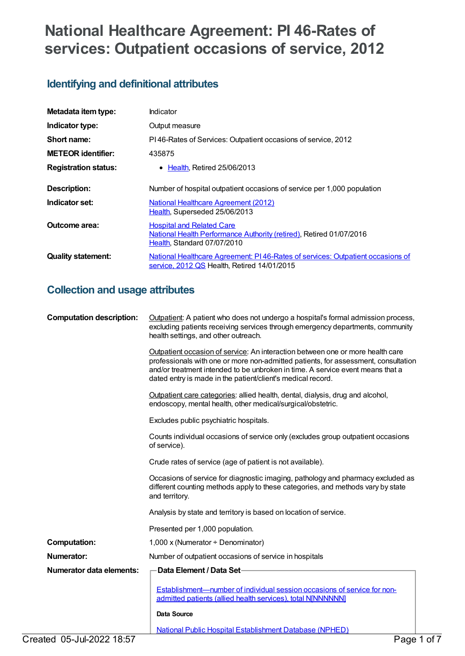# **National Healthcare Agreement: PI 46-Rates of services: Outpatient occasions of service, 2012**

# **Identifying and definitional attributes**

| Metadata item type:         | Indicator                                                                                                                              |
|-----------------------------|----------------------------------------------------------------------------------------------------------------------------------------|
| Indicator type:             | Output measure                                                                                                                         |
| Short name:                 | PI46-Rates of Services: Outpatient occasions of service, 2012                                                                          |
| <b>METEOR</b> identifier:   | 435875                                                                                                                                 |
| <b>Registration status:</b> | • Health, Retired 25/06/2013                                                                                                           |
| Description:                | Number of hospital outpatient occasions of service per 1,000 population                                                                |
| Indicator set:              | <b>National Healthcare Agreement (2012)</b><br>Health, Superseded 25/06/2013                                                           |
| Outcome area:               | <b>Hospital and Related Care</b><br>National Health Performance Authority (retired), Retired 01/07/2016<br>Health, Standard 07/07/2010 |
| <b>Quality statement:</b>   | National Healthcare Agreement: PI46-Rates of services: Outpatient occasions of<br>service, 2012 QS Health, Retired 14/01/2015          |

# **Collection and usage attributes**

| <b>Computation description:</b> | Outpatient: A patient who does not undergo a hospital's formal admission process,<br>excluding patients receiving services through emergency departments, community<br>health settings, and other outreach.                                                                                                           |
|---------------------------------|-----------------------------------------------------------------------------------------------------------------------------------------------------------------------------------------------------------------------------------------------------------------------------------------------------------------------|
|                                 | Outpatient occasion of service: An interaction between one or more health care<br>professionals with one or more non-admitted patients, for assessment, consultation<br>and/or treatment intended to be unbroken in time. A service event means that a<br>dated entry is made in the patient/client's medical record. |
|                                 | Outpatient care categories: allied health, dental, dialysis, drug and alcohol,<br>endoscopy, mental health, other medical/surgical/obstetric.                                                                                                                                                                         |
|                                 | Excludes public psychiatric hospitals.                                                                                                                                                                                                                                                                                |
|                                 | Counts individual occasions of service only (excludes group outpatient occasions<br>of service).                                                                                                                                                                                                                      |
|                                 | Crude rates of service (age of patient is not available).                                                                                                                                                                                                                                                             |
|                                 | Occasions of service for diagnostic imaging, pathology and pharmacy excluded as<br>different counting methods apply to these categories, and methods vary by state<br>and territory.                                                                                                                                  |
|                                 | Analysis by state and territory is based on location of service.                                                                                                                                                                                                                                                      |
|                                 | Presented per 1,000 population.                                                                                                                                                                                                                                                                                       |
| <b>Computation:</b>             | 1,000 x (Numerator $\div$ Denominator)                                                                                                                                                                                                                                                                                |
| <b>Numerator:</b>               | Number of outpatient occasions of service in hospitals                                                                                                                                                                                                                                                                |
| Numerator data elements:        | Data Element / Data Set                                                                                                                                                                                                                                                                                               |
|                                 | Establishment—number of individual session occasions of service for non-<br>admitted patients (allied health services), total NJNNNNNN]                                                                                                                                                                               |
|                                 | <b>Data Source</b>                                                                                                                                                                                                                                                                                                    |
|                                 | <b>National Public Hospital Establishment Database (NPHED)</b>                                                                                                                                                                                                                                                        |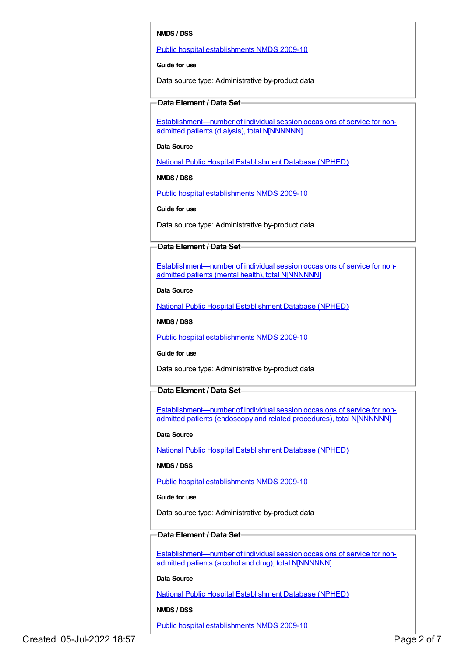# **NMDS / DSS**

# Public hospital [establishments](https://meteor.aihw.gov.au/content/374924) NMDS 2009-10

**Guide for use**

Data source type: Administrative by-product data

# **Data Element / Data Set**

[Establishment—number](https://meteor.aihw.gov.au/content/270503) of individual session occasions of service for nonadmitted patients (dialysis), total N[NNNNNN]

# **Data Source**

National Public Hospital [Establishment](https://meteor.aihw.gov.au/content/395090) Database (NPHED)

**NMDS / DSS**

Public hospital [establishments](https://meteor.aihw.gov.au/content/374924) NMDS 2009-10

**Guide for use**

Data source type: Administrative by-product data

# **Data Element / Data Set**

[Establishment—number](https://meteor.aihw.gov.au/content/270504) of individual session occasions of service for nonadmitted patients (mental health), total N[NNNNNN]

## **Data Source**

National Public Hospital [Establishment](https://meteor.aihw.gov.au/content/395090) Database (NPHED)

**NMDS / DSS**

Public hospital [establishments](https://meteor.aihw.gov.au/content/374924) NMDS 2009-10

# **Guide for use**

Data source type: Administrative by-product data

# **Data Element / Data Set**

[Establishment—number](https://meteor.aihw.gov.au/content/270507) of individual session occasions of service for nonadmitted patients (endoscopy and related procedures), total N[NNNNNN]

# **Data Source**

National Public Hospital [Establishment](https://meteor.aihw.gov.au/content/395090) Database (NPHED)

# **NMDS / DSS**

Public hospital [establishments](https://meteor.aihw.gov.au/content/374924) NMDS 2009-10

# **Guide for use**

Data source type: Administrative by-product data

# **Data Element / Data Set**

[Establishment—number](https://meteor.aihw.gov.au/content/270508) of individual session occasions of service for nonadmitted patients (alcohol and drug), total N[NNNNNN]

# **Data Source**

National Public Hospital [Establishment](https://meteor.aihw.gov.au/content/395090) Database (NPHED)

# **NMDS / DSS**

Public hospital [establishments](https://meteor.aihw.gov.au/content/374924) NMDS 2009-10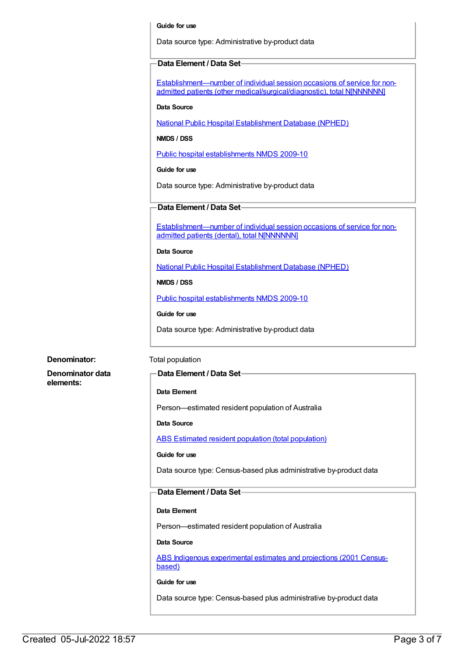#### **Guide for use**

Data source type: Administrative by-product data

## **Data Element / Data Set**

Establishment—number of individual session occasions of service for nonadmitted patients (other [medical/surgical/diagnostic\),](https://meteor.aihw.gov.au/content/270511) total NINNNNNNI

**Data Source**

National Public Hospital [Establishment](https://meteor.aihw.gov.au/content/395090) Database (NPHED)

**NMDS / DSS**

Public hospital [establishments](https://meteor.aihw.gov.au/content/374924) NMDS 2009-10

### **Guide for use**

Data source type: Administrative by-product data

# **Data Element / Data Set**

[Establishment—number](https://meteor.aihw.gov.au/content/270513) of individual session occasions of service for nonadmitted patients (dental), total N[NNNNNN]

#### **Data Source**

National Public Hospital [Establishment](https://meteor.aihw.gov.au/content/395090) Database (NPHED)

# **NMDS / DSS**

Public hospital [establishments](https://meteor.aihw.gov.au/content/374924) NMDS 2009-10

# **Guide for use**

Data source type: Administrative by-product data

**Denominator data**

**elements:**

# **Denominator:** Total population

# **Data Element / Data Set**

# **Data Element**

Person—estimated resident population of Australia

**Data Source**

ABS Estimated resident population (total [population\)](https://meteor.aihw.gov.au/content/393625)

# **Guide for use**

Data source type: Census-based plus administrative by-product data

# **Data Element / Data Set**

# **Data Element**

Person—estimated resident population of Australia

# **Data Source**

ABS Indigenous [experimental](https://meteor.aihw.gov.au/content/394092) estimates and projections (2001 Censusbased)

# **Guide for use**

Data source type: Census-based plus administrative by-product data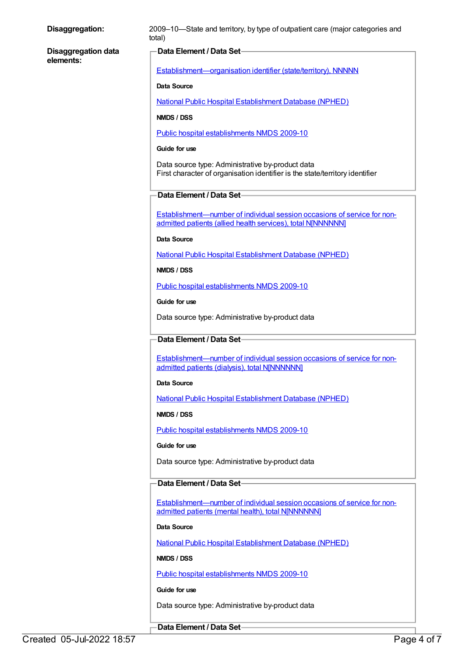| Disaggregation:            | 2009-10-State and territory, by type of outpatient care (major categories and<br>total)                                                 |
|----------------------------|-----------------------------------------------------------------------------------------------------------------------------------------|
| <b>Disaggregation data</b> | Data Element / Data Set-                                                                                                                |
| elements:                  | Establishment-organisation identifier (state/territory), NNNNN                                                                          |
|                            | Data Source                                                                                                                             |
|                            | <b>National Public Hospital Establishment Database (NPHED)</b>                                                                          |
|                            | NMDS / DSS                                                                                                                              |
|                            | Public hospital establishments NMDS 2009-10                                                                                             |
|                            | Guide for use                                                                                                                           |
|                            | Data source type: Administrative by-product data<br>First character of organisation identifier is the state/territory identifier        |
|                            | Data Element / Data Set                                                                                                                 |
|                            | Establishment-number of individual session occasions of service for non-<br>admitted patients (allied health services), total N[NNNNNN] |
|                            | <b>Data Source</b>                                                                                                                      |
|                            | <b>National Public Hospital Establishment Database (NPHED)</b>                                                                          |
|                            | NMDS / DSS                                                                                                                              |
|                            | Public hospital establishments NMDS 2009-10                                                                                             |
|                            | Guide for use                                                                                                                           |
|                            | Data source type: Administrative by-product data                                                                                        |
|                            | Data Element / Data Set-                                                                                                                |
|                            | Establishment—number of individual session occasions of service for non-<br>admitted patients (dialysis), total N[NNNNNN]               |
|                            | <b>Data Source</b>                                                                                                                      |
|                            | <b>National Public Hospital Establishment Database (NPHED)</b>                                                                          |
|                            | NMDS / DSS                                                                                                                              |
|                            | Public hospital establishments NMDS 2009-10                                                                                             |
|                            | Guide for use                                                                                                                           |
|                            | Data source type: Administrative by-product data                                                                                        |
|                            | Data Element / Data Set-                                                                                                                |
|                            | Establishment—number of individual session occasions of service for non-<br>admitted patients (mental health), total N[NNNNNN]          |
|                            | Data Source                                                                                                                             |
|                            | <b>National Public Hospital Establishment Database (NPHED)</b>                                                                          |
|                            | NMDS / DSS                                                                                                                              |
|                            | Public hospital establishments NMDS 2009-10                                                                                             |
|                            | Guide for use                                                                                                                           |
|                            | Data source type: Administrative by-product data                                                                                        |
|                            | Data Element / Data Set-                                                                                                                |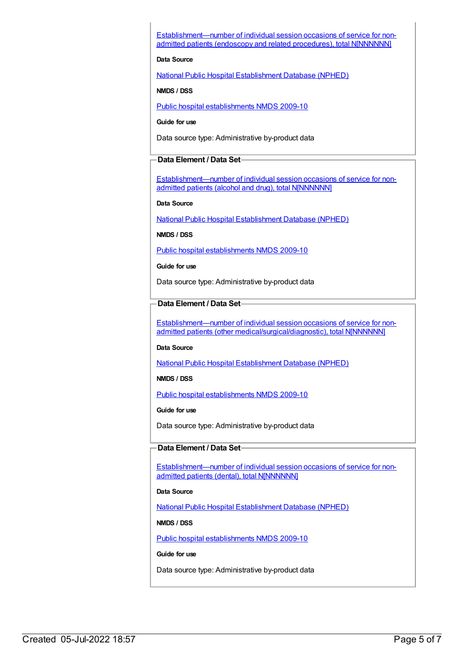[Establishment—number](https://meteor.aihw.gov.au/content/270507) of individual session occasions of service for nonadmitted patients (endoscopy and related procedures), total N[NNNNNN]

# **Data Source**

National Public Hospital [Establishment](https://meteor.aihw.gov.au/content/395090) Database (NPHED)

# **NMDS / DSS**

Public hospital [establishments](https://meteor.aihw.gov.au/content/374924) NMDS 2009-10

**Guide for use**

Data source type: Administrative by-product data

# **Data Element / Data Set**

[Establishment—number](https://meteor.aihw.gov.au/content/270508) of individual session occasions of service for nonadmitted patients (alcohol and drug), total N[NNNNNN]

**Data Source**

National Public Hospital [Establishment](https://meteor.aihw.gov.au/content/395090) Database (NPHED)

**NMDS / DSS**

Public hospital [establishments](https://meteor.aihw.gov.au/content/374924) NMDS 2009-10

**Guide for use**

Data source type: Administrative by-product data

# **Data Element / Data Set**

[Establishment—number](https://meteor.aihw.gov.au/content/270511) of individual session occasions of service for nonadmitted patients (other medical/surgical/diagnostic), total N[NNNNNN]

#### **Data Source**

National Public Hospital [Establishment](https://meteor.aihw.gov.au/content/395090) Database (NPHED)

**NMDS / DSS**

Public hospital [establishments](https://meteor.aihw.gov.au/content/374924) NMDS 2009-10

**Guide for use**

Data source type: Administrative by-product data

# **Data Element / Data Set**

[Establishment—number](https://meteor.aihw.gov.au/content/270513) of individual session occasions of service for nonadmitted patients (dental), total N[NNNNNN]

#### **Data Source**

National Public Hospital [Establishment](https://meteor.aihw.gov.au/content/395090) Database (NPHED)

# **NMDS / DSS**

Public hospital [establishments](https://meteor.aihw.gov.au/content/374924) NMDS 2009-10

## **Guide for use**

Data source type: Administrative by-product data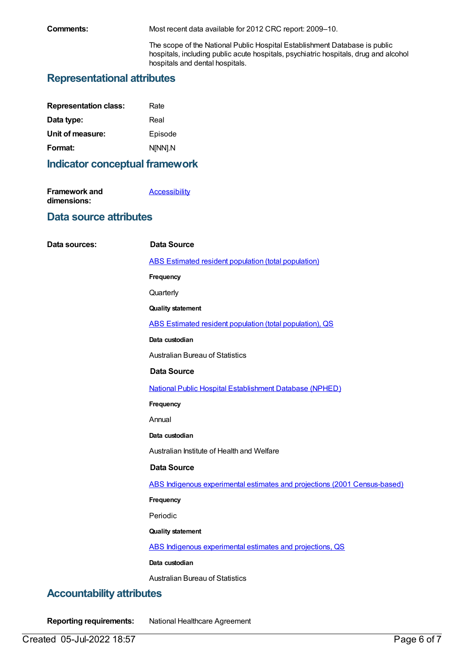**Comments:** Most recent data available for 2012 CRC report: 2009–10.

The scope of the National Public Hospital Establishment Database is public hospitals, including public acute hospitals, psychiatric hospitals, drug and alcohol hospitals and dental hospitals.

# **Representational attributes**

| Rate    |
|---------|
| Real    |
| Episode |
| N[NN].N |
|         |

# **Indicator conceptual framework**

| <b>Framework and</b> | <b>Accessibility</b> |
|----------------------|----------------------|
| dimensions:          |                      |

# **Data source attributes**

| Data sources: | <b>Data Source</b>                                                        |
|---------------|---------------------------------------------------------------------------|
|               | <b>ABS Estimated resident population (total population)</b>               |
|               | Frequency                                                                 |
|               | Quarterly                                                                 |
|               | <b>Quality statement</b>                                                  |
|               | ABS Estimated resident population (total population), QS                  |
|               | Data custodian                                                            |
|               | <b>Australian Bureau of Statistics</b>                                    |
|               | <b>Data Source</b>                                                        |
|               | <b>National Public Hospital Establishment Database (NPHED)</b>            |
|               | Frequency                                                                 |
|               | Annual                                                                    |
|               | Data custodian                                                            |
|               | Australian Institute of Health and Welfare                                |
|               | <b>Data Source</b>                                                        |
|               | ABS Indigenous experimental estimates and projections (2001 Census-based) |
|               | Frequency                                                                 |
|               | Periodic                                                                  |
|               | <b>Quality statement</b>                                                  |
|               | ABS Indigenous experimental estimates and projections, QS                 |
|               | Data custodian                                                            |
|               | <b>Australian Bureau of Statistics</b>                                    |

# **Accountability attributes**

**Reporting requirements:** National Healthcare Agreement